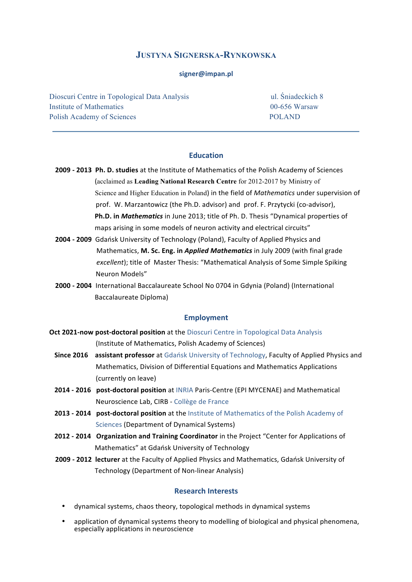### **JUSTYNA SIGNERSKA-RYNKOWSKA**

#### **signer@impan.pl**

Dioscuri Centre in Topological Data Analysis ul. Śniadeckich 8 Institute of Mathematics 00-656 Warsaw Polish Academy of Sciences POLAND

#### **Education**

- 2009  **2013** Ph. D. studies at the Institute of Mathematics of the Polish Academy of Sciences (acclaimed as Leading National Research Centre for 2012-2017 by Ministry of Science and Higher Education in Poland) in the field of *Mathematics* under supervision of prof. W. Marzantowicz (the Ph.D. advisor) and prof. F. Przytycki (co-advisor), **Ph.D. in** *Mathematics* in June 2013; title of Ph. D. Thesis "Dynamical properties of maps arising in some models of neuron activity and electrical circuits"
- **2004 2009** Gdańsk University of Technology (Poland), Faculty of Applied Physics and Mathematics, M. Sc. Eng. in *Applied Mathematics* in July 2009 (with final grade *excellent*); title of Master Thesis: "Mathematical Analysis of Some Simple Spiking Neuron Models"
- **2000 2004** International Baccalaureate School No 0704 in Gdynia (Poland) (International **Baccalaureate Diploma)**

### **Employment**

- **Oct 2021-now post-doctoral position** at the Dioscuri Centre in Topological Data Analysis (Institute of Mathematics, Polish Academy of Sciences)
	- **Since 2016** assistant professor at Gdańsk University of Technology, Faculty of Applied Physics and Mathematics, Division of Differential Equations and Mathematics Applications (currently on leave)
	- **2014 2016** post-doctoral position at INRIA Paris-Centre (EPI MYCENAE) and Mathematical Neuroscience Lab, CIRB - Collège de France
	- **2013 2014 post-doctoral position** at the Institute of Mathematics of the Polish Academy of Sciences (Department of Dynamical Systems)
	- **2012 2014 Organization and Training Coordinator** in the Project "Center for Applications of Mathematics" at Gdańsk University of Technology
	- **2009 2012 lecturer** at the Faculty of Applied Physics and Mathematics, Gdańsk University of **Technology (Department of Non-linear Analysis)**

#### **Research Interests**

- dynamical systems, chaos theory, topological methods in dynamical systems
- application of dynamical systems theory to modelling of biological and physical phenomena, especially applications in neuroscience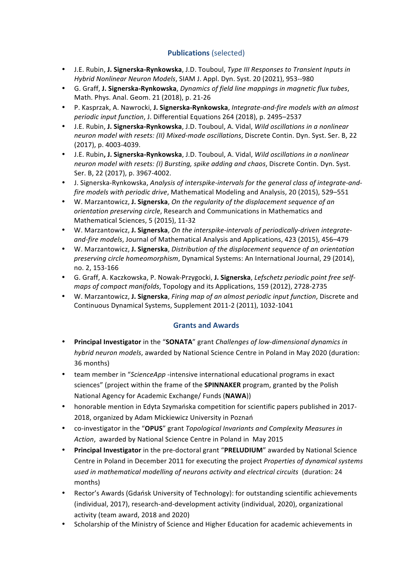# **Publications** (selected)

- J.E. Rubin, J. Signerska-Rynkowska, J.D. Touboul, *Type III Responses to Transient Inputs in Hybrid Nonlinear Neuron Models*, SIAM J. Appl. Dyn. Syst. 20 (2021), 953--980
- G. Graff, **J. Signerska-Rynkowska**, *Dynamics of field line mappings in magnetic flux tubes*, Math. Phys. Anal. Geom. 21 (2018), p. 21-26
- P. Kasprzak, A. Nawrocki, J. Signerska-Rynkowska, *Integrate-and-fire models with an almost periodic input function, J. Differential Equations 264 (2018), p. 2495–2537*
- J.E. Rubin, J. Signerska-Rynkowska, J.D. Touboul, A. Vidal, *Wild oscillations in a nonlinear neuron model with resets: (II) Mixed-mode oscillations*, Discrete Contin. Dyn. Syst. Ser. B, 22 (2017), p. 4003-4039.
- J.E. Rubin, J. Signerska-Rynkowska, J.D. Touboul, A. Vidal, *Wild oscillations in a nonlinear neuron model with resets: (I) Bursting, spike adding and chaos, Discrete Contin. Dyn. Syst.* Ser. B, 22 (2017), p. 3967-4002.
- J. Signerska-Rynkowska, *Analysis of interspike-intervals for the general class of integrate-andfire models with periodic drive*, Mathematical Modeling and Analysis, 20 (2015), 529–551
- W. Marzantowicz, **J. Signerska**, *On the regularity of the displacement sequence of an orientation preserving circle*, Research and Communications in Mathematics and Mathematical Sciences, 5 (2015), 11-32
- W. Marzantowicz, J. Signerska, On the interspike-intervals of periodically-driven integrateand-fire models, Journal of Mathematical Analysis and Applications, 423 (2015), 456-479
- W. Marzantowicz, J. Signerska, Distribution of the displacement sequence of an orientation *preserving circle homeomorphism*, Dynamical Systems: An International Journal, 29 (2014), no. 2, 153-166
- G. Graff, A. Kaczkowska, P. Nowak-Przygocki, J. Signerska, *Lefschetz periodic point free selfmaps of compact manifolds*, Topology and its Applications, 159 (2012), 2728-2735
- W. Marzantowicz, **J. Signerska**, *Firing map of an almost periodic input function*, Discrete and Continuous Dynamical Systems, Supplement 2011-2 (2011), 1032-1041

### **Grants and Awards**

- Principal Investigator in the "SONATA" grant *Challenges of low-dimensional dynamics in hybrid neuron models*, awarded by National Science Centre in Poland in May 2020 (duration: 36 months)
- team member in "ScienceApp -intensive international educational programs in exact sciences" (project within the frame of the **SPINNAKER** program, granted by the Polish National Agency for Academic Exchange/ Funds (**NAWA**))
- honorable mention in Edyta Szymańska competition for scientific papers published in 2017-2018, organized by Adam Mickiewicz University in Poznań
- co-investigator in the "OPUS" grant *Topological Invariants and Complexity Measures in* Action, awarded by National Science Centre in Poland in May 2015
- Principal Investigator in the pre-doctoral grant "PRELUDIUM" awarded by National Science Centre in Poland in December 2011 for executing the project *Properties of dynamical systems* used in mathematical modelling of neurons activity and electrical circuits (duration: 24 months)
- Rector's Awards (Gdańsk University of Technology): for outstanding scientific achievements (individual, 2017), research-and-development activity (individual, 2020), organizational activity (team award, 2018 and 2020)
- Scholarship of the Ministry of Science and Higher Education for academic achievements in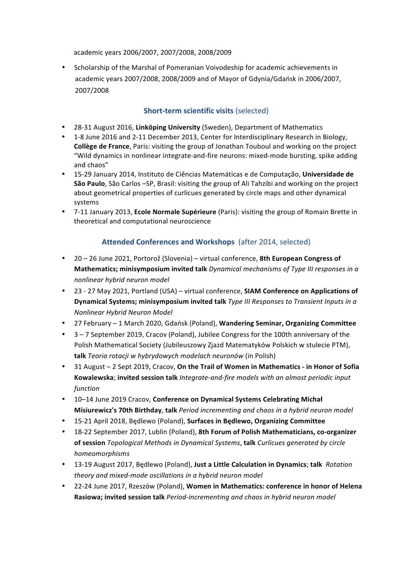academic years 2006/2007, 2007/2008, 2008/2009

• Scholarship of the Marshal of Pomeranian Voivodeship for academic achievements in academic years 2007/2008, 2008/2009 and of Mayor of Gdynia/Gdańsk in 2006/2007, 2007/2008

## **Short-term scientific visits (selected)**

- 28-31 August 2016, Linköping University (Sweden), Department of Mathematics
- 1-8 June 2016 and 2-11 December 2013, Center for Interdisciplinary Research in Biology, **Collège de France**, Paris: visiting the group of Jonathan Touboul and working on the project "Wild dynamics in nonlinear integrate-and-fire neurons: mixed-mode bursting, spike adding and chaos"
- 15-29 January 2014, Instituto de Ciências Matemáticas e de Computação, Universidade de **São Paulo**, São Carlos -SP, Brasil: visiting the group of Ali Tahzibi and working on the project about geometrical properties of curlicues generated by circle maps and other dynamical systems
- 7-11 January 2013, **Ecole Normale Supérieure** (Paris): visiting the group of Romain Brette in theoretical and computational neuroscience

# **Attended Conferences and Workshops** (after 2014, selected)

- 20 26 June 2021, Portorož (Slovenia) virtual conference, 8th European Congress of **Mathematics; minisymposium invited talk** *Dynamical mechanisms of Type III responses in a nonlinear hybrid neuron model*
- 23 27 May 2021, Portland (USA) virtual conference, **SIAM Conference on Applications of Dynamical Systems; minisymposium invited talk** *Type III Responses to Transient Inputs in a Nonlinear Hybrid Neuron Model*
- 27 February 1 March 2020, Gdańsk (Poland), **Wandering Seminar, Organizing Committee**
- 3-7 September 2019, Cracov (Poland), Jubilee Congress for the 100th anniversary of the Polish Mathematical Society (Jubileuszowy Zjazd Matematyków Polskich w stulecie PTM), **talk** *Teoria rotacji w hybrydowych modelach neuronów* (in Polish)
- 31 August 2 Sept 2019, Cracov, On the Trail of Women in Mathematics in Honor of Sofia **Kowalewska**; invited session talk *Integrate-and-fire models with an almost periodic input function*
- 10-14 June 2019 Cracov, Conference on Dynamical Systems Celebrating Michał **Misiurewicz's 70th Birthday**, **talk** *Period incrementing and chaos in a hybrid neuron model*
- 15-21 April 2018, Będlewo (Poland), **Surfaces in Będlewo, Organizing Committee**
- 18-22 September 2017, Lublin (Poland), 8th Forum of Polish Mathematicians, co-organizer **of session** *Topological Methods in Dynamical Systems*, **talk** *Curlicues generated by circle homeomorphisms*
- 13-19 August 2017, Będlewo (Poland), **Just a Little Calculation in Dynamics**; **talk** *Rotation theory and mixed-mode oscillations in a hybrid neuron model*
- 22-24 June 2017, Rzeszów (Poland), Women in Mathematics: conference in honor of Helena **Rasiowa; invited session talk** *Period-incrementing and chaos in hybrid neuron model*